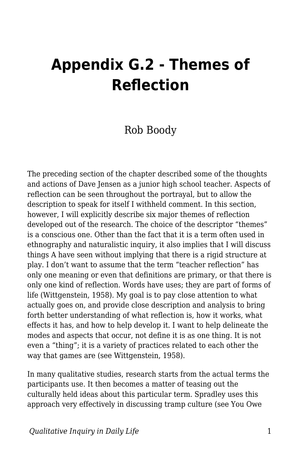## **Appendix G.2 - Themes of Reflection**

## Rob Boody

The preceding section of the chapter described some of the thoughts and actions of Dave Jensen as a junior high school teacher. Aspects of reflection can be seen throughout the portrayal, but to allow the description to speak for itself I withheld comment. In this section, however, I will explicitly describe six major themes of reflection developed out of the research. The choice of the descriptor "themes" is a conscious one. Other than the fact that it is a term often used in ethnography and naturalistic inquiry, it also implies that I will discuss things A have seen without implying that there is a rigid structure at play. I don't want to assume that the term "teacher reflection" has only one meaning or even that definitions are primary, or that there is only one kind of reflection. Words have uses; they are part of forms of life (Wittgenstein, 1958). My goal is to pay close attention to what actually goes on, and provide close description and analysis to bring forth better understanding of what reflection is, how it works, what effects it has, and how to help develop it. I want to help delineate the modes and aspects that occur, not define it is as one thing. It is not even a "thing"; it is a variety of practices related to each other the way that games are (see Wittgenstein, 1958).

In many qualitative studies, research starts from the actual terms the participants use. It then becomes a matter of teasing out the culturally held ideas about this particular term. Spradley uses this approach very effectively in discussing tramp culture (see You Owe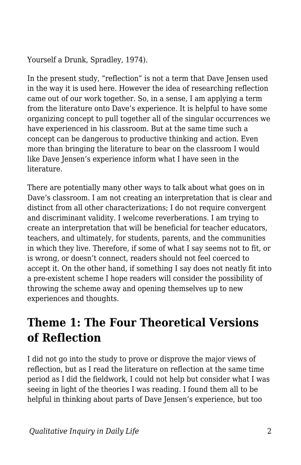Yourself a Drunk, Spradley, 1974).

In the present study, "reflection" is not a term that Dave Jensen used in the way it is used here. However the idea of researching reflection came out of our work together. So, in a sense, I am applying a term from the literature onto Dave's experience. It is helpful to have some organizing concept to pull together all of the singular occurrences we have experienced in his classroom. But at the same time such a concept can be dangerous to productive thinking and action. Even more than bringing the literature to bear on the classroom I would like Dave Jensen's experience inform what I have seen in the literature.

There are potentially many other ways to talk about what goes on in Dave's classroom. I am not creating an interpretation that is clear and distinct from all other characterizations; I do not require convergent and discriminant validity. I welcome reverberations. I am trying to create an interpretation that will be beneficial for teacher educators, teachers, and ultimately, for students, parents, and the communities in which they live. Therefore, if some of what I say seems not to fit, or is wrong, or doesn't connect, readers should not feel coerced to accept it. On the other hand, if something I say does not neatly fit into a pre-existent scheme I hope readers will consider the possibility of throwing the scheme away and opening themselves up to new experiences and thoughts.

## **Theme 1: The Four Theoretical Versions of Reflection**

I did not go into the study to prove or disprove the major views of reflection, but as I read the literature on reflection at the same time period as I did the fieldwork, I could not help but consider what I was seeing in light of the theories I was reading. I found them all to be helpful in thinking about parts of Dave Jensen's experience, but too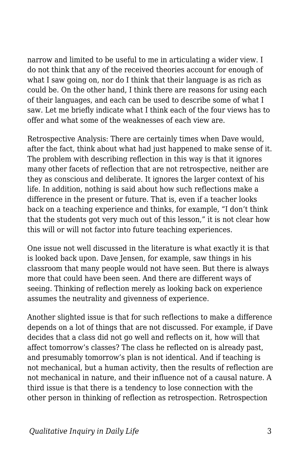narrow and limited to be useful to me in articulating a wider view. I do not think that any of the received theories account for enough of what I saw going on, nor do I think that their language is as rich as could be. On the other hand, I think there are reasons for using each of their languages, and each can be used to describe some of what I saw. Let me briefly indicate what I think each of the four views has to offer and what some of the weaknesses of each view are.

Retrospective Analysis: There are certainly times when Dave would, after the fact, think about what had just happened to make sense of it. The problem with describing reflection in this way is that it ignores many other facets of reflection that are not retrospective, neither are they as conscious and deliberate. It ignores the larger context of his life. In addition, nothing is said about how such reflections make a difference in the present or future. That is, even if a teacher looks back on a teaching experience and thinks, for example, "I don't think that the students got very much out of this lesson," it is not clear how this will or will not factor into future teaching experiences.

One issue not well discussed in the literature is what exactly it is that is looked back upon. Dave Jensen, for example, saw things in his classroom that many people would not have seen. But there is always more that could have been seen. And there are different ways of seeing. Thinking of reflection merely as looking back on experience assumes the neutrality and givenness of experience.

Another slighted issue is that for such reflections to make a difference depends on a lot of things that are not discussed. For example, if Dave decides that a class did not go well and reflects on it, how will that affect tomorrow's classes? The class he reflected on is already past, and presumably tomorrow's plan is not identical. And if teaching is not mechanical, but a human activity, then the results of reflection are not mechanical in nature, and their influence not of a causal nature. A third issue is that there is a tendency to lose connection with the other person in thinking of reflection as retrospection. Retrospection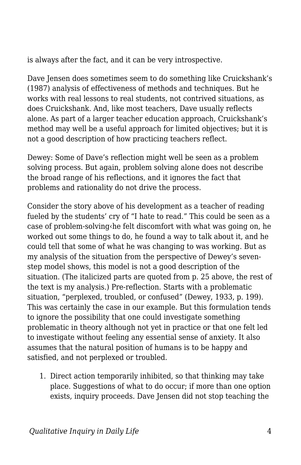is always after the fact, and it can be very introspective.

Dave Jensen does sometimes seem to do something like Cruickshank's (1987) analysis of effectiveness of methods and techniques. But he works with real lessons to real students, not contrived situations, as does Cruickshank. And, like most teachers, Dave usually reflects alone. As part of a larger teacher education approach, Cruickshank's method may well be a useful approach for limited objectives; but it is not a good description of how practicing teachers reflect.

Dewey: Some of Dave's reflection might well be seen as a problem solving process. But again, problem solving alone does not describe the broad range of his reflections, and it ignores the fact that problems and rationality do not drive the process.

Consider the story above of his development as a teacher of reading fueled by the students' cry of "I hate to read." This could be seen as a case of problem-solving‹he felt discomfort with what was going on, he worked out some things to do, he found a way to talk about it, and he could tell that some of what he was changing to was working. But as my analysis of the situation from the perspective of Dewey's sevenstep model shows, this model is not a good description of the situation. (The italicized parts are quoted from p. 25 above, the rest of the text is my analysis.) Pre-reflection. Starts with a problematic situation, "perplexed, troubled, or confused" (Dewey, 1933, p. 199). This was certainly the case in our example. But this formulation tends to ignore the possibility that one could investigate something problematic in theory although not yet in practice or that one felt led to investigate without feeling any essential sense of anxiety. It also assumes that the natural position of humans is to be happy and satisfied, and not perplexed or troubled.

1. Direct action temporarily inhibited, so that thinking may take place. Suggestions of what to do occur; if more than one option exists, inquiry proceeds. Dave Jensen did not stop teaching the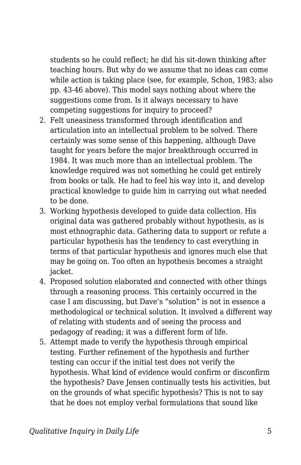students so he could reflect; he did his sit-down thinking after teaching hours. But why do we assume that no ideas can come while action is taking place (see, for example, Schon, 1983; also pp. 43-46 above). This model says nothing about where the suggestions come from. Is it always necessary to have competing suggestions for inquiry to proceed?

- 2. Felt uneasiness transformed through identification and articulation into an intellectual problem to be solved. There certainly was some sense of this happening, although Dave taught for years before the major breakthrough occurred in 1984. It was much more than an intellectual problem. The knowledge required was not something he could get entirely from books or talk. He had to feel his way into it, and develop practical knowledge to guide him in carrying out what needed to be done.
- 3. Working hypothesis developed to guide data collection. His original data was gathered probably without hypothesis, as is most ethnographic data. Gathering data to support or refute a particular hypothesis has the tendency to cast everything in terms of that particular hypothesis and ignores much else that may be going on. Too often an hypothesis becomes a straight jacket.
- 4. Proposed solution elaborated and connected with other things through a reasoning process. This certainly occurred in the case I am discussing, but Dave's "solution" is not in essence a methodological or technical solution. It involved a different way of relating with students and of seeing the process and pedagogy of reading; it was a different form of life.
- 5. Attempt made to verify the hypothesis through empirical testing. Further refinement of the hypothesis and further testing can occur if the initial test does not verify the hypothesis. What kind of evidence would confirm or disconfirm the hypothesis? Dave Jensen continually tests his activities, but on the grounds of what specific hypothesis? This is not to say that he does not employ verbal formulations that sound like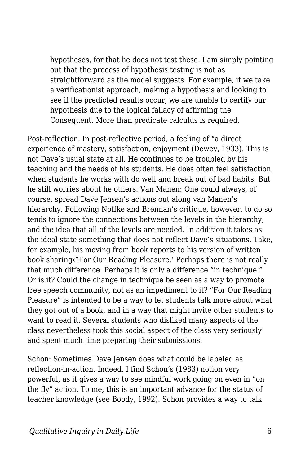hypotheses, for that he does not test these. I am simply pointing out that the process of hypothesis testing is not as straightforward as the model suggests. For example, if we take a verificationist approach, making a hypothesis and looking to see if the predicted results occur, we are unable to certify our hypothesis due to the logical fallacy of affirming the Consequent. More than predicate calculus is required.

Post-reflection. In post-reflective period, a feeling of "a direct experience of mastery, satisfaction, enjoyment (Dewey, 1933). This is not Dave's usual state at all. He continues to be troubled by his teaching and the needs of his students. He does often feel satisfaction when students he works with do well and break out of bad habits. But he still worries about he others. Van Manen: One could always, of course, spread Dave Jensen's actions out along van Manen's hierarchy. Following Noffke and Brennan's critique, however, to do so tends to ignore the connections between the levels in the hierarchy, and the idea that all of the levels are needed. In addition it takes as the ideal state something that does not reflect Dave's situations. Take, for example, his moving from book reports to his version of written book sharing‹"For Our Reading Pleasure.' Perhaps there is not really that much difference. Perhaps it is only a difference "in technique." Or is it? Could the change in technique be seen as a way to promote free speech community, not as an impediment to it? "For Our Reading Pleasure" is intended to be a way to let students talk more about what they got out of a book, and in a way that might invite other students to want to read it. Several students who disliked many aspects of the class nevertheless took this social aspect of the class very seriously and spent much time preparing their submissions.

Schon: Sometimes Dave Jensen does what could be labeled as reflection-in-action. Indeed, I find Schon's (1983) notion very powerful, as it gives a way to see mindful work going on even in "on the fly" action. To me, this is an important advance for the status of teacher knowledge (see Boody, 1992). Schon provides a way to talk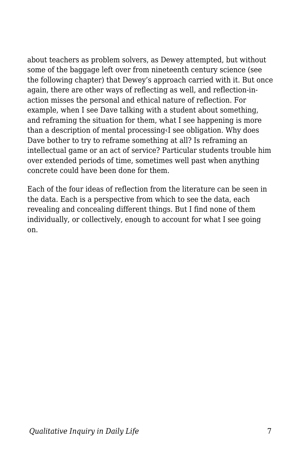about teachers as problem solvers, as Dewey attempted, but without some of the baggage left over from nineteenth century science (see the following chapter) that Dewey's approach carried with it. But once again, there are other ways of reflecting as well, and reflection-inaction misses the personal and ethical nature of reflection. For example, when I see Dave talking with a student about something, and reframing the situation for them, what I see happening is more than a description of mental processing‹I see obligation. Why does Dave bother to try to reframe something at all? Is reframing an intellectual game or an act of service? Particular students trouble him over extended periods of time, sometimes well past when anything concrete could have been done for them.

Each of the four ideas of reflection from the literature can be seen in the data. Each is a perspective from which to see the data, each revealing and concealing different things. But I find none of them individually, or collectively, enough to account for what I see going on.